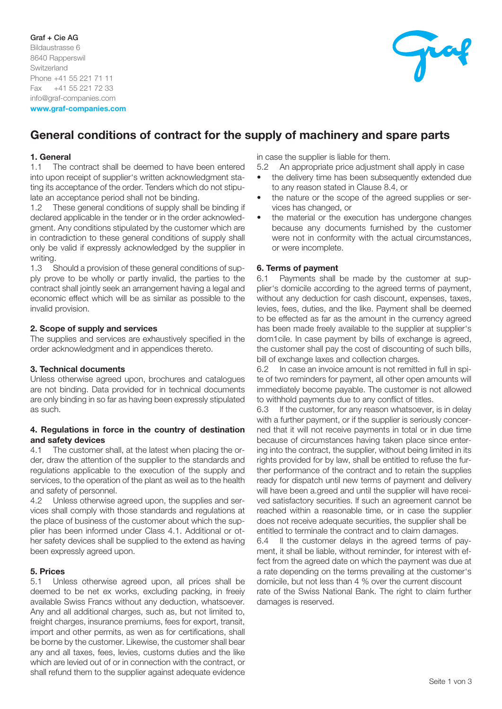# Graf + Cie AG Bildaustrasse 6 8640 Rapperswil **Switzerland** Phone +41 55 221 71 11 Fax +41 55 221 72 33 info@graf-companies.com www.graf-companies.com



# General conditions of contract for the supply of machinery and spare parts

# 1. General

1.1 The contract shall be deemed to have been entered into upon receipt of supplier's written acknowledgment stating its acceptance of the order. Tenders which do not stipulate an acceptance period shall not be binding.

1.2 These general conditions of supply shall be binding if declared applicable in the tender or in the order acknowledgment. Any conditions stipulated by the customer which are in contradiction to these general conditions of supply shall only be valid if expressly acknowledged by the supplier in writing.<br> $1.3$ 

Should a provision of these general conditions of supply prove to be wholly or partly invalid, the parties to the contract shall jointly seek an arrangement having a legal and economic effect which will be as similar as possible to the invalid provision.

# 2. Scope of supply and services

The supplies and services are exhaustively specified in the order acknowledgment and in appendices thereto.

# 3. Technical documents

Unless otherwise agreed upon, brochures and catalogues are not binding. Data provided for in technical documents are only binding in so far as having been expressly stipulated as such.

## 4. Regulations in force in the country of destination and safety devices

4.1 The customer shall, at the latest when placing the order, draw the attention of the supplier to the standards and regulations applicable to the execution of the supply and services, to the operation of the plant as weil as to the health and safety of personnel.

4.2 Unless otherwise agreed upon, the supplies and services shall comply with those standards and regulations at the place of business of the customer about which the supplier has been informed under Class 4.1. Additional or other safety devices shall be supplied to the extend as having been expressly agreed upon.

## 5. Prices

5.1 Unless otherwise agreed upon, all prices shall be deemed to be net ex works, excluding packing, in freeiy available Swiss Francs without any deduction, whatsoever. Any and all additional charges, such as, but not limited to, freight charges, insurance premiums, fees for export, transit, import and other permits, as wen as for certifications, shall be borne by the customer. Likewise, the customer shall bear any and all taxes, fees, levies, customs duties and the like which are levied out of or in connection with the contract, or shall refund them to the supplier against adequate evidence

in case the supplier is liable for them.

5.2 An appropriate price adjustment shall apply in case

- the delivery time has been subsequently extended due to any reason stated in Clause 8.4, or
- the nature or the scope of the agreed supplies or services has changed, or
- the material or the execution has undergone changes because any documents furnished by the customer were not in conformity with the actual circumstances, or were incomplete.

# 6. Terms of payment

6.1 Payments shall be made by the customer at supplier's domicile according to the agreed terms of payment, without any deduction for cash discount, expenses, taxes, levies, fees, duties, and the like. Payment shall be deemed to be effected as far as the amount in the currency agreed has been made freely available to the supplier at supplier's dom1cile. In case payment by bills of exchange is agreed, the customer shall pay the cost of discounting of such bills, bill of exchange laxes and collection charges.

6.2 In case an invoice amount is not remitted in full in spite of two reminders for payment, all other open amounts will immediately become payable. The customer is not allowed to withhold payments due to any conflict of titles.

6.3 lf the customer, for any reason whatsoever, is in delay with a further payment, or if the supplier is seriously concerned that it will not receive payments in total or in due time because of circumstances having taken place since entering into the contract, the supplier, without being limited in its rights provided for by law, shall be entitled to refuse the further performance of the contract and to retain the supplies ready for dispatch until new terms of payment and delivery will have been a.greed and until the supplier will have received satisfactory securities. lf such an agreement cannot be reached within a reasonable time, or in case the supplier does not receive adequate securities, the supplier shall be entitled to terminale the contract and to claim damages. 6.4 II the customer delays in the agreed terms of pay-

ment, it shall be liable, without reminder, for interest with effect from the agreed date on which the payment was due at a rate depending on the terms prevailing at the customer's domicile, but not less than 4 % over the current discount rate of the Swiss National Bank. The right to claim further damages is reserved.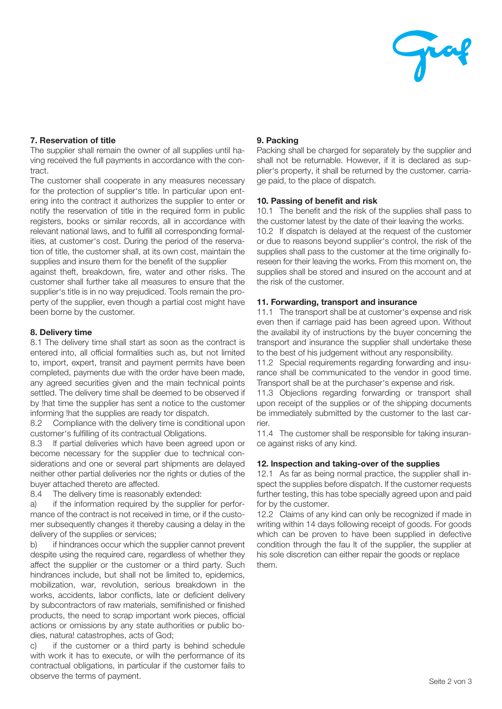

# 7. Reservation of title

The supplier shall remain the owner of all supplies until having received the full payments in accordance with the contract.

The customer shall cooperate in any measures necessary for the protection of supplier's title. In particular upon entering into the contract it authorizes the supplier to enter or notify the reservation of title in the required form in public registers, books or similar records, all in accordance with relevant national laws, and to fulfill all corresponding formalities, at customer's cost. During the period of the reservation of title, the customer shall, at its own cost, maintain the supplies and insure them for the benefit of the supplier

against theft, breakdown, fire, water and other risks. The customer shall further take all measures to ensure that the supplier's title is in no way prejudiced. Tools remain the property of the supplier, even though a partial cost might have been borne by the customer.

## 8. Delivery time

8.1 The delivery time shall start as soon as the contract is entered into, all official formalities such as, but not limited to, import, expert, transit and payment permits have been completed, payments due with the order have been made, any agreed securities given and the main technical points settled. The delivery time shall be deemed to be observed if by !hat time the supplier has sent a notice to the customer informing !hat the supplies are ready tor dispatch.

8.2 Compliance with the delivery time is conditional upon customer's fulfilling of its contractual Obligations.

8.3 lf partial deliveries which have been agreed upon or become necessary for the supplier due to technical considerations and one or several part shipments are delayed neither other partial deliveries nor the rights or duties of the buyer attached thereto are affected.

8.4 The delivery time is reasonably extended:

a) if the information required by the supplier for performance of the contract is not received in time, or if the customer subsequently changes it thereby causing a delay in the delivery of the supplies or services;

b) if hindrances occur which the supplier cannot prevent despite using the required care, regardless of whether they affect the supplier or the customer or a third party. Such hindrances include, but shall not be limited to, epidemics, mobilization, war, revolution, serious breakdown in the works, accidents, labor conflicts, late or deficient delivery by subcontractors of raw materials, semifinished or finished products, the need to scrap important work pieces, official actions or omissions by any state authorities or public bodies, natura! catastrophes, acts of God;

c) if the customer or a third party is behind schedule with work it has to execute, or wilh the performance of its contractual obligations, in particular if the customer fails to observe the terms of payment.

# 9. Packing

Packing shall be charged for separately by the supplier and shall not be returnable. However, if it is declared as supplier's property, it shall be returned by the customer. carriage paid, to the place of dispatch.

## 10. Passing of benefit and risk

10.1 The benefit and the risk of the supplies shall pass to the customer latest by the date of their leaving the works. 10.2 lf dispatch is delayed at the request of the customer or due to reasons beyond supplier's control, the risk of the supplies shall pass to the customer at the time originally foreseen for their leaving the works. From this moment on, the supplies shall be stored and insured on the account and at the risk of the customer.

# 11. Forwarding, transport and insurance

11.1 The transport shall be at customer's expense and risk even then if carriage paid has been agreed upon. Without the availabil ity of instructions by the buyer concerning the transport and insurance the supplier shall undertake these to the best of his judgement without any responsibility.

11.2 Special requirements regarding forwarding and insurance shall be communicated to the vendor in good time. Transport shall be at the purchaser's expense and risk.

11.3 Objeclions regarding forwarding or transport shall upon receipt of the supplies or of the shipping documents be immediately submitted by the customer to the last carrier.

11.4 The customer shall be responsible for taking insurance against risks of any kind.

## 12. lnspection and taking-over of the supplies

12.1 As far as being normal practice, the supplier shall inspect the supplies before dispatch. lf the customer requests further testing, this has tobe specially agreed upon and paid for by the customer.

12.2 Claims of any kind can only be recognized if made in writing within 14 days following receipt of goods. For goods which can be proven to have been supplied in defective condition through the fau lt of the supplier, the supplier at his sole discretion can either repair the goods or replace them.